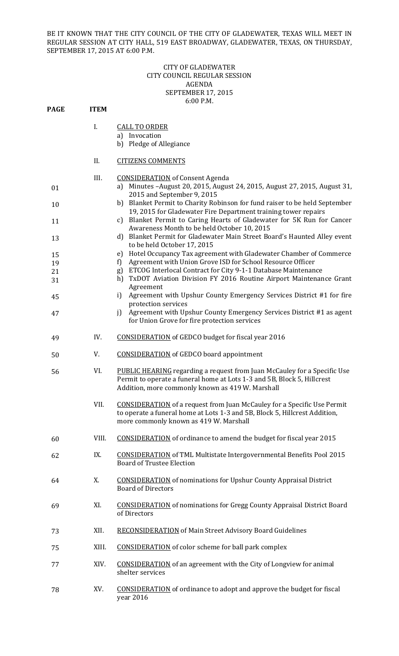BE IT KNOWN THAT THE CITY COUNCIL OF THE CITY OF GLADEWATER, TEXAS WILL MEET IN REGULAR SESSION AT CITY HALL, 519 EAST BROADWAY, GLADEWATER, TEXAS, ON THURSDAY, SEPTEMBER 17, 2015 AT 6:00 P.M.

## CITY OF GLADEWATER CITY COUNCIL REGULAR SESSION AGENDA SEPTEMBER 17, 2015 6:00 P.M.

| PAGE     | <b>ITEM</b> |                                                                                                                                                                                                                |  |  |
|----------|-------------|----------------------------------------------------------------------------------------------------------------------------------------------------------------------------------------------------------------|--|--|
|          | I.          | <b>CALL TO ORDER</b><br>a) Invocation<br>b) Pledge of Allegiance                                                                                                                                               |  |  |
|          | II.         | <b>CITIZENS COMMENTS</b>                                                                                                                                                                                       |  |  |
|          | III.        |                                                                                                                                                                                                                |  |  |
| 01       |             | <b>CONSIDERATION</b> of Consent Agenda<br>a) Minutes - August 20, 2015, August 24, 2015, August 27, 2015, August 31,<br>2015 and September 9, 2015                                                             |  |  |
| 10       |             | b) Blanket Permit to Charity Robinson for fund raiser to be held September<br>19, 2015 for Gladewater Fire Department training tower repairs                                                                   |  |  |
| 11       |             | c) Blanket Permit to Caring Hearts of Gladewater for 5K Run for Cancer<br>Awareness Month to be held October 10, 2015                                                                                          |  |  |
| 13       |             | Blanket Permit for Gladewater Main Street Board's Haunted Alley event<br>d)<br>to be held October 17, 2015                                                                                                     |  |  |
| 15       |             | Hotel Occupancy Tax agreement with Gladewater Chamber of Commerce<br>e)                                                                                                                                        |  |  |
| 19       |             | Agreement with Union Grove ISD for School Resource Officer<br>f)                                                                                                                                               |  |  |
| 21<br>31 |             | ETCOG Interlocal Contract for City 9-1-1 Database Maintenance<br>g)<br>TxDOT Aviation Division FY 2016 Routine Airport Maintenance Grant<br>h)<br>Agreement                                                    |  |  |
| 45       |             | Agreement with Upshur County Emergency Services District #1 for fire<br>i)<br>protection services                                                                                                              |  |  |
| 47       |             | Agreement with Upshur County Emergency Services District #1 as agent<br>i<br>for Union Grove for fire protection services                                                                                      |  |  |
| 49       | IV.         | <b>CONSIDERATION</b> of GEDCO budget for fiscal year 2016                                                                                                                                                      |  |  |
| 50       | V.          | <b>CONSIDERATION</b> of GEDCO board appointment                                                                                                                                                                |  |  |
| 56       | VI.         | <b>PUBLIC HEARING</b> regarding a request from Juan McCauley for a Specific Use<br>Permit to operate a funeral home at Lots 1-3 and 5B, Block 5, Hillcrest<br>Addition, more commonly known as 419 W. Marshall |  |  |
|          | VII.        | <b>CONSIDERATION</b> of a request from Juan McCauley for a Specific Use Permit<br>to operate a funeral home at Lots 1-3 and 5B, Block 5, Hillcrest Addition,<br>more commonly known as 419 W. Marshall         |  |  |
| 60       | VIII.       | <b>CONSIDERATION</b> of ordinance to amend the budget for fiscal year 2015                                                                                                                                     |  |  |
| 62       | IX.         | <b>CONSIDERATION</b> of TML Multistate Intergovernmental Benefits Pool 2015<br><b>Board of Trustee Election</b>                                                                                                |  |  |
| 64       | X.          | <b>CONSIDERATION</b> of nominations for Upshur County Appraisal District<br><b>Board of Directors</b>                                                                                                          |  |  |
| 69       | XI.         | <b>CONSIDERATION</b> of nominations for Gregg County Appraisal District Board<br>of Directors                                                                                                                  |  |  |
| 73       | XII.        | <b>RECONSIDERATION</b> of Main Street Advisory Board Guidelines                                                                                                                                                |  |  |
| 75       | XIII.       | <b>CONSIDERATION</b> of color scheme for ball park complex                                                                                                                                                     |  |  |
| 77       | XIV.        | <b>CONSIDERATION</b> of an agreement with the City of Longview for animal<br>shelter services                                                                                                                  |  |  |
| 78       | XV.         | <b>CONSIDERATION</b> of ordinance to adopt and approve the budget for fiscal<br>year 2016                                                                                                                      |  |  |